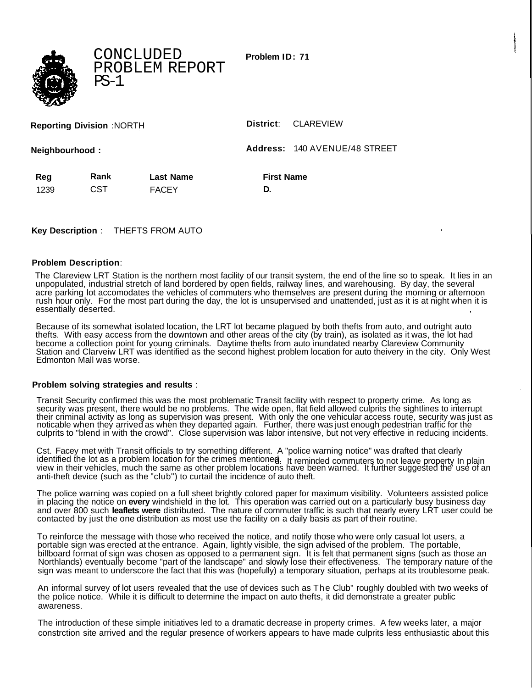**Problem ID: 71**



CONCLUDED PROBLEM REPORT  $PS-1$ 

| <b>Reporting Division :NORTH</b> |  |
|----------------------------------|--|
|----------------------------------|--|

 $District: CLAREVIEW$ 

**Neighbourhood : Address:** 140 AVENUE/48 STREET

| Reg  | Rank | <b>Last Name</b> | <b>First Name</b> |
|------|------|------------------|-------------------|
| 1239 | CST  | <b>FACEY</b>     |                   |

**Key Description** : THEFTS FROM AUTO

## **Problem Description**:

The Clareview LRT Station is the northern most facility of our transit system, the end of the line so to speak. It lies in an unpopulated, industrial stretch of land bordered by open fields, railway lines, and warehousing. By day, the several acre parking lot accomodates the vehicles of commuters who themselves are present during the morning or afternoon rush hour only. For the most part during the day, the lot is unsupervised and unattended, just as it is at night when it is essentially deserted.

Because of its somewhat isolated location, the LRT lot became plagued by both thefts from auto, and outright auto thefts. With easy access from the downtown and other areas of the city (by train), as isolated as it was, the lot had become a collection point for young criminals. Daytime thefts from auto inundated nearby Clareview Community Station and Clarveiw LRT was identified as the second highest problem location for auto theivery in the city. Only West Edmonton Mall was worse.

## **Problem solving strategies and results** :

Transit Security confirmed this was the most problematic Transit facility with respect to property crime. As long as security was present, there would be no problems. The wide open, flat field allowed culprits the sightlines to interrupt their criminal activity as long as supervision was present. With only the one vehicular access route, security was just as noticable when they arrived as when they departed again. Further, there was just enough pedestrian traffic for the culprits to "blend in with the crowd". Close supervision was labor intensive, but not very effective in reducing incidents.

Cst. Facey met with Transit officials to try something different. A "police warning notice" was drafted that clearly identified the lot as a problem location for the crimes mentioned. It reminded commuters to not leave property In plain view in their vehicles, much the same as other problem locations have been warned. It further suggested the' use of an anti-theft device (such as the "club") to curtail the incidence of auto theft.

The police warning was copied on a full sheet brightly colored paper for maximum visibility. Volunteers assisted police in placing the notice on **every** windshield in the lot. This operation was carried out on a particularly busy business day and over 800 such **leaflets were** distributed. The nature of commuter traffic is such that nearly every LRT user could be contacted by just the one distribution as most use the facility on a daily basis as part of their routine.

To reinforce the message with those who received the notice, and notify those who were only casual lot users, a portable sign was erected at the entrance. Again, lightly visible, the sign advised of the problem. The portable, billboard format of sign was chosen as opposed to a permanent sign. It is felt that permanent signs (such as those an Northlands) eventually become "part of the landscape" and slowly lose their effectiveness. The temporary nature of the sign was meant to underscore the fact that this was (hopefully) a temporary situation, perhaps at its troublesome peak.

An informal survey of lot users revealed that the use of devices such as The Club" roughly doubled with two weeks of the police notice. While it is difficult to determine the impact on auto thefts, it did demonstrate a greater public awareness.

The introduction of these simple initiatives led to a dramatic decrease in property crimes. A few weeks later, a major constrction site arrived and the regular presence of workers appears to have made culprits less enthusiastic about this